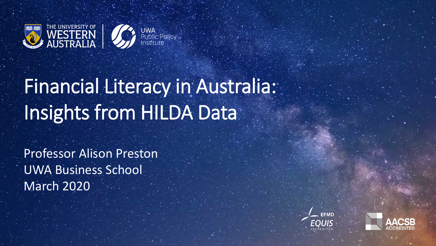

# Financial Literacy in Australia: Insights from HILDA Data

Professor Alison Preston UWA Business School March 2020



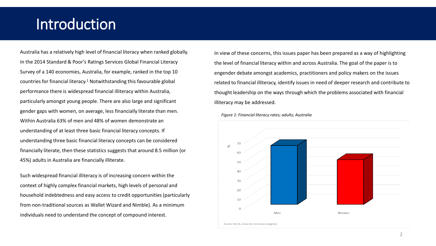# Introduction

Australia has a relatively high level of financial literacy when ranked globally. In the 2014 Standard & Poor's Ratings Services Global Financial Literacy Survey of a 140 economies, Australia, for example, ranked in the top 10 countries for financial literacy.<sup>1</sup> Notwithstanding this favourable global performance there is widespread financial illiteracy within Australia, particularly amongst young people. There are also large and significant gender gaps with women, on average, less financially literate than men. Within Australia 63% of men and 48% of women demonstrate an understanding of at least three basic financial literacy concepts. If understanding three basic financial literacy concepts can be considered financially literate, then these statistics suggests that around 8.5 million (or 45%) adults in Australia are financially illiterate.

Such widespread financial illiteracy is of increasing concern within the context of highly complex financial markets, high levels of personal and household indebtedness and easy access to credit opportunities (particularly from non-traditional sources as Wallet Wizard and Nimble). As a minimum individuals need to understand the concept of compound interest.

In view of these concerns, this issues paper has been prepared as a way of highlighting the level of financial literacy within and across Australia. The goal of the paper is to engender debate amongst academics, practitioners and policy makers on the issues related to financial illiteracy, identify issues in need of deeper research and contribute to thought leadership on the ways through which the problems associated with financial illiteracy may be addressed.



*Figure 1: Financial literacy rates; adults; Australia*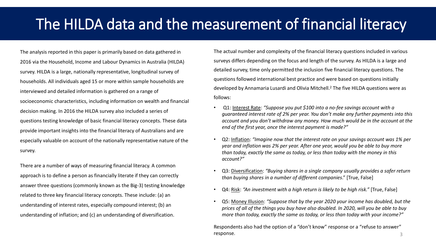# The HILDA data and the measurement of financial literacy

The analysis reported in this paper is primarily based on data gathered in 2016 via the Household, Income and Labour Dynamics in Australia (HILDA) survey. HILDA is a large, nationally representative, longitudinal survey of households. All individuals aged 15 or more within sample households are interviewed and detailed information is gathered on a range of socioeconomic characteristics, including information on wealth and financial decision making. In 2016 the HILDA survey also included a series of questions testing knowledge of basic financial literacy concepts. These data provide important insights into the financial literacy of Australians and are especially valuable on account of the nationally representative nature of the survey.

There are a number of ways of measuring financial literacy. A common approach is to define a person as financially literate if they can correctly answer three questions (commonly known as the Big-3) testing knowledge related to three key financial literacy concepts. These include: (a) an understanding of interest rates, especially compound interest; (b) an understanding of inflation; and (c) an understanding of diversification.

The actual number and complexity of the financial literacy questions included in various surveys differs depending on the focus and length of the survey. As HILDA is a large and detailed survey, time only permitted the inclusion five financial literacy questions. The questions followed international best practice and were based on questions initially developed by Annamaria Lusardi and Olivia Mitchell.2 The five HILDA questions were as follows:

- Q1: Interest Rate: *"Suppose you put \$100 into a no-fee savings account with a guaranteed interest rate of 2% per year. You don't make any further payments into this account and you don't withdraw any money. How much would be in the account at the end of the first year, once the interest payment is made?"*
- Q2: Inflation: *"Imagine now that the interest rate on your savings account was 1% per year and inflation was 2% per year. After one year, would you be able to buy more than today, exactly the same as today, or less than today with the money in this account?"*
- Q3: Diversification: *"Buying shares in a single company usually provides a safer return than buying shares in a number of different companies*." [True, False]
- Q4: Risk: *"An investment with a high return is likely to be high risk."* [True, False]
- Q5: Money Illusion: *"Suppose that by the year 2020 your income has doubled, but the prices of all of the things you buy have also doubled. In 2020, will you be able to buy more than today, exactly the same as today, or less than today with your income?"*

Respondents also had the option of a "don't know" response or a "refuse to answer" response. 33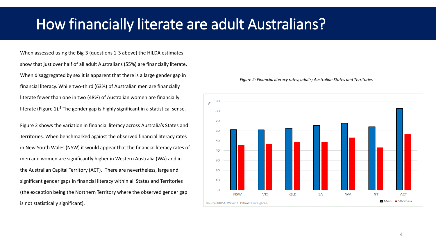## How financially literate are adult Australians?

When assessed using the Big-3 (questions 1-3 above) the HILDA estimates show that just over half of all adult Australians (55%) are financially literate. When disaggregated by sex it is apparent that there is a large gender gap in financial literacy. While two-third (63%) of Australian men are financially literate fewer than one in two (48%) of Australian women are financially literate (Figure 1).<sup>3</sup> The gender gap is highly significant in a statistical sense.

Figure 2 shows the variation in financial literacy across Australia's States and Territories. When benchmarked against the observed financial literacy rates in New South Wales (NSW) it would appear that the financial literacy rates of men and women are significantly higher in Western Australia (WA) and in the Australian Capital Territory (ACT). There are nevertheless, large and significant gender gaps in financial literacy within all States and Territories (the exception being the Northern Territory where the observed gender gap is not statistically significant).

![](_page_3_Figure_3.jpeg)

#### *Figure 2: Financial literacy rates; adults; Australian States and Territories*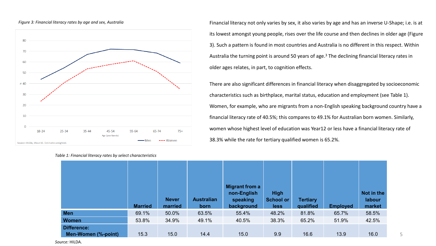![](_page_4_Figure_0.jpeg)

![](_page_4_Figure_1.jpeg)

Financial literacy not only varies by sex, it also varies by age and has an inverse U-Shape; i.e. is at its lowest amongst young people, rises over the life course and then declines in older age (Figure 3). Such a pattern is found in most countries and Australia is no different in this respect. Within Australia the turning point is around 50 years of age.3 The declining financial literacy rates in older ages relates, in part, to cognition effects.

There are also significant differences in financial literacy when disaggregated by socioeconomic characteristics such as birthplace, marital status, education and employment (see Table 1). Women, for example, who are migrants from a non-English speaking background country have a financial literacy rate of 40.5%; this compares to 49.1% for Australian born women. Similarly, women whose highest level of education was Year12 or less have a financial literacy rate of 38.3% while the rate for tertiary qualified women is 65.2%.

|                                    |                |                         |                           | Migrant from a                        |                                         |                              |                 |                                |
|------------------------------------|----------------|-------------------------|---------------------------|---------------------------------------|-----------------------------------------|------------------------------|-----------------|--------------------------------|
|                                    | <b>Married</b> | <b>Never</b><br>married | <b>Australian</b><br>born | non-English<br>speaking<br>background | <b>High</b><br>School or<br><b>less</b> | <b>Tertiary</b><br>qualified | <b>Employed</b> | Not in the<br>labour<br>market |
| <b>Men</b>                         | 69.1%          | 50.0%                   | 63.5%                     | 55.4%                                 | 48.2%                                   | 81.8%                        | 65.7%           | 58.5%                          |
| <b>Women</b>                       | 53.8%          | 34.9%                   | 49.1%                     | 40.5%                                 | 38.3%                                   | 65.2%                        | 51.9%           | 42.5%                          |
| Difference:<br>Men-Women (%-point) | 15.3           | 15.0                    | 14.4                      | 15.0                                  | 9.9                                     | 16.6                         | 13.9            | 16.0                           |

*Table 1: Financial literacy rates by select characteristics*

*Source:* HILDA.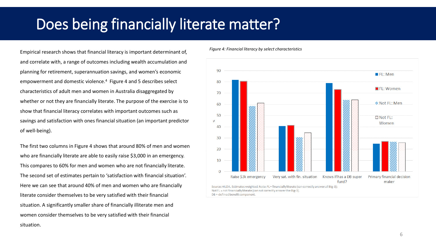# Does being financially literate matter?

Empirical research shows that financial literacy is important determinant of, and correlate with, a range of outcomes including wealth accumulation and planning for retirement, superannuation savings, and women's economic empowerment and domestic violence.4 Figure 4 and 5 describes select characteristics of adult men and women in Australia disaggregated by whether or not they are financially literate. The purpose of the exercise is to show that financial literacy correlates with important outcomes such as savings and satisfaction with ones financial situation (an important predictor of well-being).

The first two columns in Figure 4 shows that around 80% of men and women who are financially literate are able to easily raise \$3,000 in an emergency. This compares to 60% for men and women who are not financially literate. The second set of estimates pertain to 'satisfaction with financial situation'. Here we can see that around 40% of men and women who are financially literate consider themselves to be very satisfied with their financial situation. A significantly smaller share of financially illiterate men and women consider themselves to be very satisfied with their financial situation.

*Figure 4: Financial literacy by select characteristics*

![](_page_5_Figure_4.jpeg)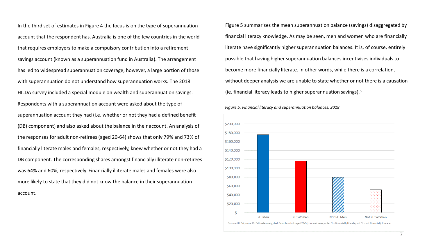In the third set of estimates in Figure 4 the focus is on the type of superannuation account that the respondent has. Australia is one of the few countries in the world that requires employers to make a compulsory contribution into a retirement savings account (known as a superannuation fund in Australia). The arrangement has led to widespread superannuation coverage, however, a large portion of those with superannuation do not understand how superannuation works. The 2018 HILDA survey included a special module on wealth and superannuation savings. Respondents with a superannuation account were asked about the type of superannuation account they had (i.e. whether or not they had a defined benefit (DB) component) and also asked about the balance in their account. An analysis of the responses for adult non-retirees (aged 20-64) shows that only 79% and 73% of financially literate males and females, respectively, knew whether or not they had a DB component. The corresponding shares amongst financially illiterate non-retirees was 64% and 60%, respectively. Financially illiterate males and females were also more likely to state that they did not know the balance in their superannuation account.

Figure 5 summarises the mean superannuation balance (savings) disaggregated by financial literacy knowledge. As may be seen, men and women who are financially literate have significantly higher superannuation balances. It is, of course, entirely possible that having higher superannuation balances incentivises individuals to become more financially literate. In other words, while there is a correlation, without deeper analysis we are unable to state whether or not there is a causation (ie. financial literacy leads to higher superannuation savings).5

*Figure 5: Financial literacy and superannuation balances, 2018*

![](_page_6_Figure_3.jpeg)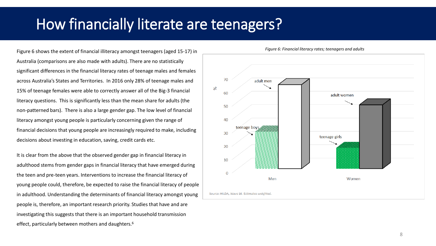# How financially literate are teenagers?

Figure 6 shows the extent of financial illiteracy amongst teenagers (aged 15-17) in Australia (comparisons are also made with adults). There are no statistically significant differences in the financial literacy rates of teenage males and females across Australia's States and Territories. In 2016 only 28% of teenage males and 15% of teenage females were able to correctly answer all of the Big-3 financial literacy questions. This is significantly less than the mean share for adults (the non-patterned bars). There is also a large gender gap. The low level of financial literacy amongst young people is particularly concerning given the range of financial decisions that young people are increasingly required to make, including decisions about investing in education, saving, credit cards etc.

It is clear from the above that the observed gender gap in financial literacy in adulthood stems from gender gaps in financial literacy that have emerged during the teen and pre-teen years. Interventions to increase the financial literacy of young people could, therefore, be expected to raise the financial literacy of people in adulthood. Understanding the determinants of financial literacy amongst young people is, therefore, an important research priority. Studies that have and are investigating this suggests that there is an important household transmission effect, particularly between mothers and daughters.<sup>6</sup>

![](_page_7_Figure_3.jpeg)

*Figure 6: Financial literacy rates; teenagers and adults*